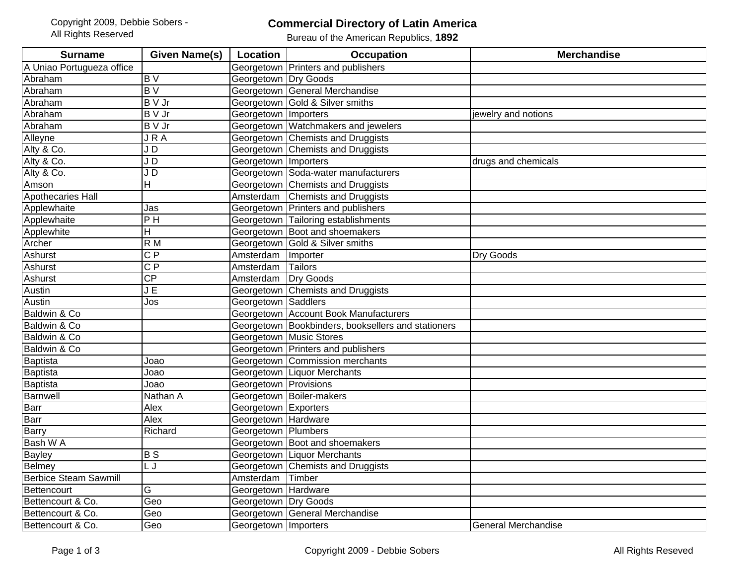## **Commercial Directory of Latin America**

Bureau of the American Republics, **1892**

| <b>Surname</b>               | <b>Given Name(s)</b>   | Location               | <b>Occupation</b>                                  | <b>Merchandise</b>         |
|------------------------------|------------------------|------------------------|----------------------------------------------------|----------------------------|
| A Uniao Portugueza office    |                        | Georgetown             | Printers and publishers                            |                            |
| Abraham                      | $\overline{B}$         | Georgetown Dry Goods   |                                                    |                            |
| Abraham                      | BV                     |                        | Georgetown General Merchandise                     |                            |
| Abraham                      | <b>B</b> V Jr          |                        | Georgetown Gold & Silver smiths                    |                            |
| Abraham                      | <b>B</b> V Jr          | Georgetown Importers   |                                                    | jewelry and notions        |
| Abraham                      | $\overline{B} \vee Jr$ |                        | Georgetown Watchmakers and jewelers                |                            |
| Alleyne                      | <b>JRA</b>             |                        | Georgetown Chemists and Druggists                  |                            |
| Alty & Co.                   | JD                     |                        | Georgetown Chemists and Druggists                  |                            |
| Alty & Co.                   | JD                     | Georgetown   Importers |                                                    | drugs and chemicals        |
| Alty & Co.                   | JD                     |                        | Georgetown Soda-water manufacturers                |                            |
| Amson                        | H                      |                        | Georgetown Chemists and Druggists                  |                            |
| Apothecaries Hall            |                        | Amsterdam              | <b>Chemists and Druggists</b>                      |                            |
| Applewhaite                  | Jas                    |                        | Georgetown Printers and publishers                 |                            |
| Applewhaite                  | $\overline{P}$ H       |                        | Georgetown Tailoring establishments                |                            |
| Applewhite                   | Н                      |                        | Georgetown Boot and shoemakers                     |                            |
| Archer                       | R M                    |                        | Georgetown Gold & Silver smiths                    |                            |
| Ashurst                      | $\overline{CP}$        | Amsterdam              | Importer                                           | Dry Goods                  |
| <b>Ashurst</b>               | $\overline{CP}$        | Amsterdam              | <b>Tailors</b>                                     |                            |
| <b>Ashurst</b>               | $\overline{CP}$        | Amsterdam              | Dry Goods                                          |                            |
| Austin                       | J E                    | Georgetown             | Chemists and Druggists                             |                            |
| Austin                       | Jos                    | Georgetown Saddlers    |                                                    |                            |
| Baldwin & Co                 |                        |                        | Georgetown Account Book Manufacturers              |                            |
| Baldwin & Co                 |                        |                        | Georgetown Bookbinders, booksellers and stationers |                            |
| Baldwin & Co                 |                        |                        | <b>Georgetown Music Stores</b>                     |                            |
| Baldwin & Co                 |                        |                        | Georgetown Printers and publishers                 |                            |
| Baptista                     | Joao                   |                        | Georgetown Commission merchants                    |                            |
| Baptista                     | Joao                   |                        | Georgetown   Liquor Merchants                      |                            |
| Baptista                     | Joao                   | Georgetown Provisions  |                                                    |                            |
| <b>Barnwell</b>              | Nathan A               |                        | Georgetown   Boiler-makers                         |                            |
| Barr                         | Alex                   | Georgetown Exporters   |                                                    |                            |
| Barr                         | Alex                   | Georgetown Hardware    |                                                    |                            |
| Barry                        | Richard                | Georgetown   Plumbers  |                                                    |                            |
| Bash W A                     |                        |                        | Georgetown Boot and shoemakers                     |                            |
| <b>Bayley</b>                | $\overline{BS}$        |                        | Georgetown Liquor Merchants                        |                            |
| <b>Belmey</b>                | L J                    |                        | Georgetown Chemists and Druggists                  |                            |
| <b>Berbice Steam Sawmill</b> |                        | Amsterdam              | Timber                                             |                            |
| Bettencourt                  | G                      | Georgetown Hardware    |                                                    |                            |
| Bettencourt & Co.            | Geo                    | Georgetown Dry Goods   |                                                    |                            |
| Bettencourt & Co.            | Geo                    |                        | Georgetown General Merchandise                     |                            |
| Bettencourt & Co.            | Geo                    | Georgetown Importers   |                                                    | <b>General Merchandise</b> |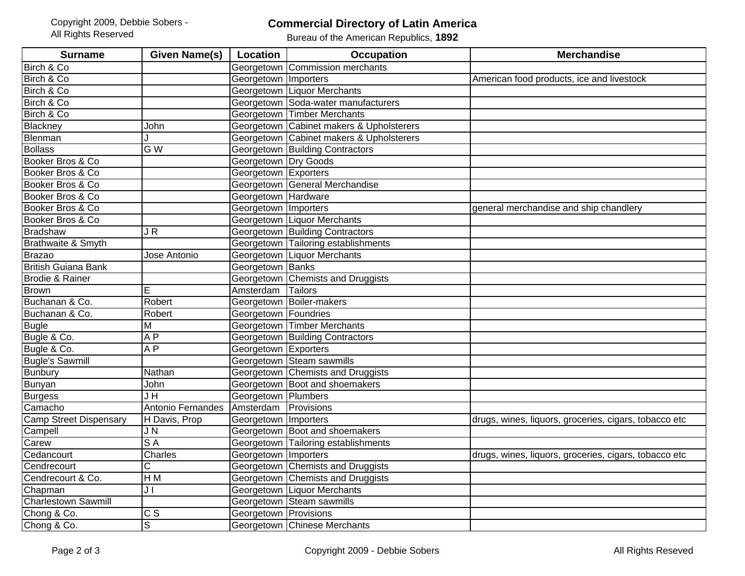## **Commercial Directory of Latin America**

Bureau of the American Republics, **1892**

| <b>Surname</b>                | Given Name(s)                       | Location               | <b>Occupation</b>                        | <b>Merchandise</b>                                    |
|-------------------------------|-------------------------------------|------------------------|------------------------------------------|-------------------------------------------------------|
| Birch & Co                    |                                     | Georgetown             | Commission merchants                     |                                                       |
| Birch & Co                    |                                     | Georgetown Importers   |                                          | American food products, ice and livestock             |
| Birch & Co                    |                                     |                        | Georgetown Liquor Merchants              |                                                       |
| Birch & Co                    |                                     |                        | Georgetown Soda-water manufacturers      |                                                       |
| Birch & Co                    |                                     |                        | Georgetown Timber Merchants              |                                                       |
| Blackney                      | John                                |                        | Georgetown Cabinet makers & Upholsterers |                                                       |
| Blenman                       |                                     |                        | Georgetown Cabinet makers & Upholsterers |                                                       |
| <b>Bollass</b>                | $\overline{G}$ W                    |                        | <b>Georgetown Building Contractors</b>   |                                                       |
| Booker Bros & Co              |                                     | Georgetown Dry Goods   |                                          |                                                       |
| Booker Bros & Co              |                                     | Georgetown Exporters   |                                          |                                                       |
| Booker Bros & Co              |                                     |                        | Georgetown General Merchandise           |                                                       |
| Booker Bros & Co              |                                     | Georgetown Hardware    |                                          |                                                       |
| Booker Bros & Co              |                                     | Georgetown   Importers |                                          | general merchandise and ship chandlery                |
| Booker Bros & Co              |                                     |                        | Georgetown Liquor Merchants              |                                                       |
| <b>Bradshaw</b>               | $\overline{\mathsf{J}\,\mathsf{R}}$ |                        | Georgetown Building Contractors          |                                                       |
| Brathwaite & Smyth            |                                     |                        | Georgetown Tailoring establishments      |                                                       |
| <b>Brazao</b>                 | Jose Antonio                        |                        | Georgetown Liquor Merchants              |                                                       |
| <b>British Guiana Bank</b>    |                                     | Georgetown Banks       |                                          |                                                       |
| Brodie & Rainer               |                                     |                        | Georgetown Chemists and Druggists        |                                                       |
| <b>Brown</b>                  | E                                   | Amsterdam              | <b>Tailors</b>                           |                                                       |
| Buchanan & Co.                | Robert                              |                        | Georgetown Boiler-makers                 |                                                       |
| Buchanan & Co.                | Robert                              | Georgetown Foundries   |                                          |                                                       |
| <b>Bugle</b>                  | M                                   |                        | <b>Georgetown Timber Merchants</b>       |                                                       |
| Bugle & Co.                   | $\overline{AP}$                     |                        | <b>Georgetown Building Contractors</b>   |                                                       |
| Bugle & Co.                   | $\overline{AP}$                     | Georgetown Exporters   |                                          |                                                       |
| <b>Bugle's Sawmill</b>        |                                     |                        | Georgetown Steam sawmills                |                                                       |
| <b>Bunbury</b>                | Nathan                              |                        | Georgetown Chemists and Druggists        |                                                       |
| <b>Bunyan</b>                 | John                                |                        | Georgetown Boot and shoemakers           |                                                       |
| <b>Burgess</b>                | $\overline{\mathsf{J}\,\mathsf{H}}$ | Georgetown Plumbers    |                                          |                                                       |
| Camacho                       | Antonio Fernandes                   | Amsterdam              | Provisions                               |                                                       |
| <b>Camp Street Dispensary</b> | H Davis, Prop                       | Georgetown Importers   |                                          | drugs, wines, liquors, groceries, cigars, tobacco etc |
| Campell                       | JN                                  |                        | Georgetown Boot and shoemakers           |                                                       |
| Carew                         | $\overline{SA}$                     |                        | Georgetown Tailoring establishments      |                                                       |
| Cedancourt                    | Charles                             | Georgetown   Importers |                                          | drugs, wines, liquors, groceries, cigars, tobacco etc |
| Cendrecourt                   | $\overline{\text{c}}$               |                        | Georgetown Chemists and Druggists        |                                                       |
| Cendrecourt & Co.             | H M                                 |                        | Georgetown Chemists and Druggists        |                                                       |
| Chapman                       | JI                                  |                        | Georgetown Liquor Merchants              |                                                       |
| <b>Charlestown Sawmill</b>    |                                     |                        | Georgetown Steam sawmills                |                                                       |
| Chong & Co.                   | $\overline{c}$ s                    | Georgetown Provisions  |                                          |                                                       |
| Chong & Co.                   | S                                   |                        | Georgetown Chinese Merchants             |                                                       |